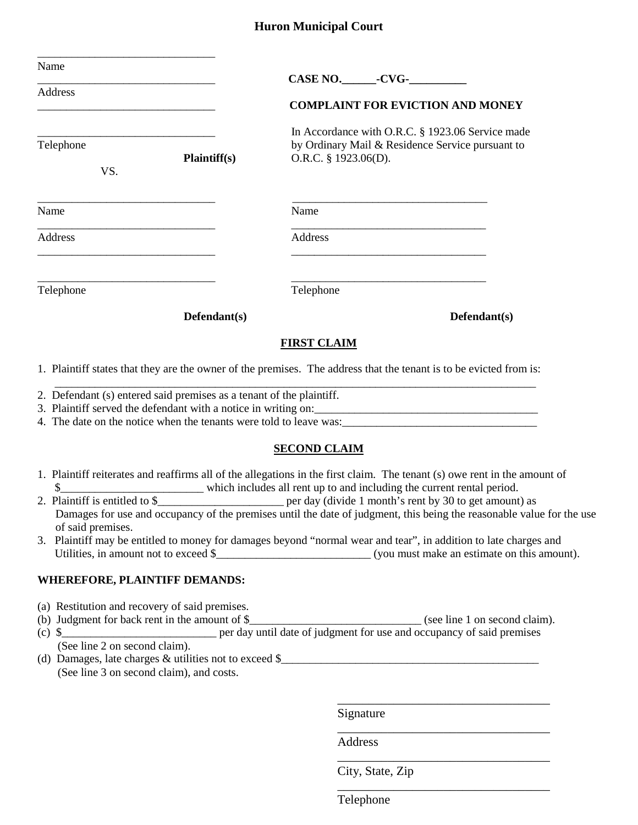#### **Huron Municipal Court**

| Name<br><b>Address</b><br>the control of the control of the control of the control of the control of the control of | <b>COMPLAINT FOR EVICTION AND MONEY</b>                                                                                                |
|---------------------------------------------------------------------------------------------------------------------|----------------------------------------------------------------------------------------------------------------------------------------|
| Telephone<br>Plaintiff(s)<br>VS.                                                                                    | In Accordance with O.R.C. § 1923.06 Service made<br>by Ordinary Mail & Residence Service pursuant to<br>O.R.C. § 1923.06(D).           |
| Name                                                                                                                | Name                                                                                                                                   |
| <b>Address</b>                                                                                                      | <u> 1989 - Johann Stein, mars an deutscher Stein und der Stein und der Stein und der Stein und der Stein und der</u><br><b>Address</b> |
| Telephone                                                                                                           | Telephone                                                                                                                              |
| $Defendant(s)$                                                                                                      | $Defendant(s)$                                                                                                                         |
|                                                                                                                     | <b>FIRST CLAIM</b>                                                                                                                     |
|                                                                                                                     | 1. Plaintiff states that they are the owner of the premises. The address that the tenant is to be evicted from is:                     |
| 2. Defendant (s) entered said premises as a tenant of the plaintiff.                                                |                                                                                                                                        |
|                                                                                                                     | <b>SECOND CLAIM</b>                                                                                                                    |

- 1. Plaintiff reiterates and reaffirms all of the allegations in the first claim. The tenant (s) owe rent in the amount of \$\_\_\_\_\_\_\_\_\_\_\_\_\_\_\_\_\_\_\_\_\_\_\_\_\_ which includes all rent up to and including the current rental period.
- 2. Plaintiff is entitled to \$\_\_\_\_\_\_\_\_\_\_\_\_\_\_\_\_\_\_\_\_\_\_\_\_\_\_\_\_\_\_\_\_ per day (divide 1 month's rent by 30 to get amount) as Damages for use and occupancy of the premises until the date of judgment, this being the reasonable value for the use of said premises.
- 3. Plaintiff may be entitled to money for damages beyond "normal wear and tear", in addition to late charges and Utilities, in amount not to exceed \$\_\_\_\_\_\_\_\_\_\_\_\_\_\_\_\_\_\_\_\_\_\_\_\_\_\_\_ (you must make an estimate on this amount).

#### **WHEREFORE, PLAINTIFF DEMANDS:**

- (a) Restitution and recovery of said premises.
- (b) Judgment for back rent in the amount of \$\_\_\_\_\_\_\_\_\_\_\_\_\_\_\_\_\_\_\_\_\_\_\_\_\_\_\_\_\_\_ (see line 1 on second claim).
- (c) \$\_\_\_\_\_\_\_\_\_\_\_\_\_\_\_\_\_\_\_\_\_\_\_\_\_\_\_ per day until date of judgment for use and occupancy of said premises (See line 2 on second claim). (d) Damages, late charges  $&$  utilities not to exceed  $\$\$
- (See line 3 on second claim), and costs.

\_\_\_\_\_\_\_\_\_\_\_\_\_\_\_\_\_\_\_\_\_\_\_\_\_\_\_\_\_\_\_\_\_\_ Signature

Address

City, State, Zip

\_\_\_\_\_\_\_\_\_\_\_\_\_\_\_\_\_\_\_\_\_\_\_\_\_\_\_\_\_\_\_\_\_\_

\_\_\_\_\_\_\_\_\_\_\_\_\_\_\_\_\_\_\_\_\_\_\_\_\_\_\_\_\_\_\_\_\_\_

\_\_\_\_\_\_\_\_\_\_\_\_\_\_\_\_\_\_\_\_\_\_\_\_\_\_\_\_\_\_\_\_\_\_

Telephone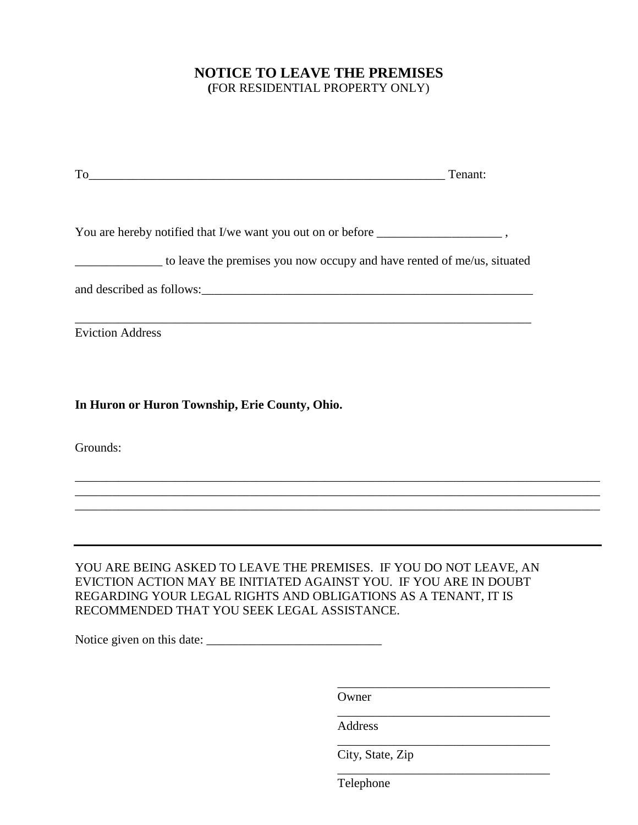## **NOTICE TO LEAVE THE PREMISES (**FOR RESIDENTIAL PROPERTY ONLY)

|                                                                                   | Tenant: |
|-----------------------------------------------------------------------------------|---------|
|                                                                                   |         |
| You are hereby notified that I/we want you out on or before _____________________ |         |
| to leave the premises you now occupy and have rented of me/us, situated           |         |
|                                                                                   |         |
|                                                                                   |         |
| <b>Eviction Address</b>                                                           |         |
|                                                                                   |         |
| In Huron or Huron Township, Erie County, Ohio.                                    |         |

Grounds:

## YOU ARE BEING ASKED TO LEAVE THE PREMISES. IF YOU DO NOT LEAVE, AN EVICTION ACTION MAY BE INITIATED AGAINST YOU. IF YOU ARE IN DOUBT REGARDING YOUR LEGAL RIGHTS AND OBLIGATIONS AS A TENANT, IT IS RECOMMENDED THAT YOU SEEK LEGAL ASSISTANCE.

\_\_\_\_\_\_\_\_\_\_\_\_\_\_\_\_\_\_\_\_\_\_\_\_\_\_\_\_\_\_\_\_\_\_\_\_\_\_\_\_\_\_\_\_\_\_\_\_\_\_\_\_\_\_\_\_\_\_\_\_\_\_\_\_\_\_\_\_\_\_\_\_\_\_\_\_\_\_\_\_\_\_\_\_ \_\_\_\_\_\_\_\_\_\_\_\_\_\_\_\_\_\_\_\_\_\_\_\_\_\_\_\_\_\_\_\_\_\_\_\_\_\_\_\_\_\_\_\_\_\_\_\_\_\_\_\_\_\_\_\_\_\_\_\_\_\_\_\_\_\_\_\_\_\_\_\_\_\_\_\_\_\_\_\_\_\_\_\_ \_\_\_\_\_\_\_\_\_\_\_\_\_\_\_\_\_\_\_\_\_\_\_\_\_\_\_\_\_\_\_\_\_\_\_\_\_\_\_\_\_\_\_\_\_\_\_\_\_\_\_\_\_\_\_\_\_\_\_\_\_\_\_\_\_\_\_\_\_\_\_\_\_\_\_\_\_\_\_\_\_\_\_\_

Notice given on this date: \_\_\_\_\_\_\_\_\_\_\_\_\_\_\_\_\_\_\_\_\_\_\_\_\_\_\_\_

Owner

Address

City, State, Zip

\_\_\_\_\_\_\_\_\_\_\_\_\_\_\_\_\_\_\_\_\_\_\_\_\_\_\_\_\_\_\_\_\_\_

\_\_\_\_\_\_\_\_\_\_\_\_\_\_\_\_\_\_\_\_\_\_\_\_\_\_\_\_\_\_\_\_\_\_

\_\_\_\_\_\_\_\_\_\_\_\_\_\_\_\_\_\_\_\_\_\_\_\_\_\_\_\_\_\_\_\_\_\_

\_\_\_\_\_\_\_\_\_\_\_\_\_\_\_\_\_\_\_\_\_\_\_\_\_\_\_\_\_\_\_\_\_\_

Telephone